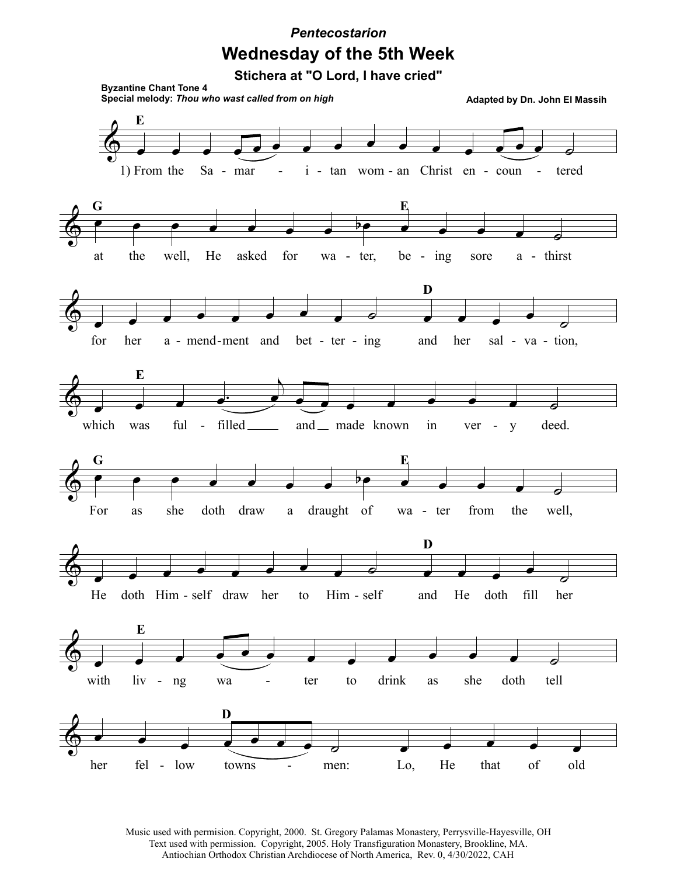## **Wednesday of the 5th Week** *Pentecostarion*

**Stichera at "O Lord, I have cried"**



Music used with permision. Copyright, 2000. St. Gregory Palamas Monastery, Perrysville-Hayesville, OH Text used with permission. Copyright, 2005. Holy Transfiguration Monastery, Brookline, MA. Antiochian Orthodox Christian Archdiocese of North America, Rev. 0, 4/30/2022, CAH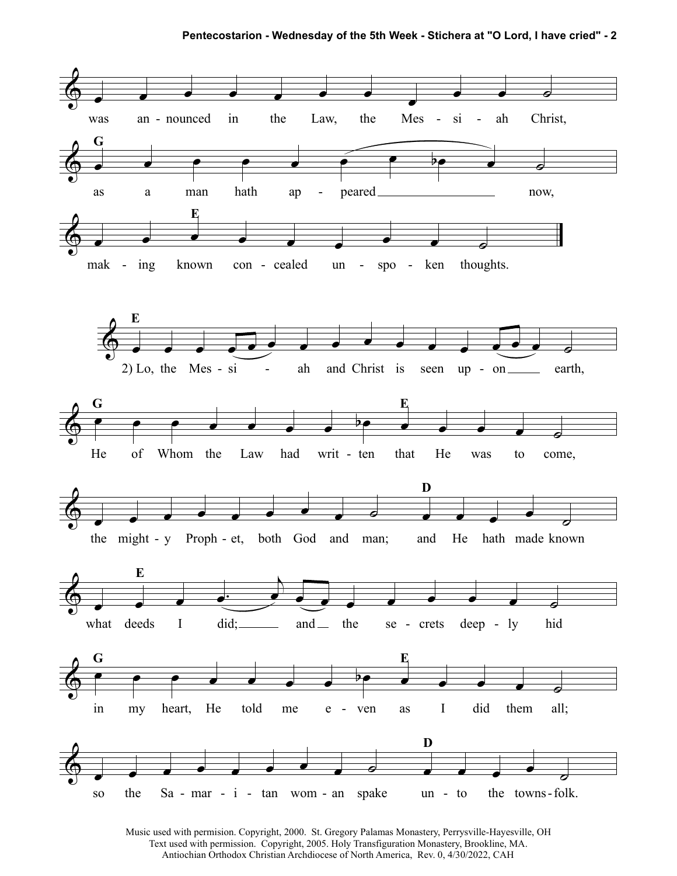**Pentecostarion - Wednesday of the 5th Week - Stichera at "O Lord, I have cried" - 2**



Music used with permision. Copyright, 2000. St. Gregory Palamas Monastery, Perrysville-Hayesville, OH Text used with permission. Copyright, 2005. Holy Transfiguration Monastery, Brookline, MA. Antiochian Orthodox Christian Archdiocese of North America, Rev. 0, 4/30/2022, CAH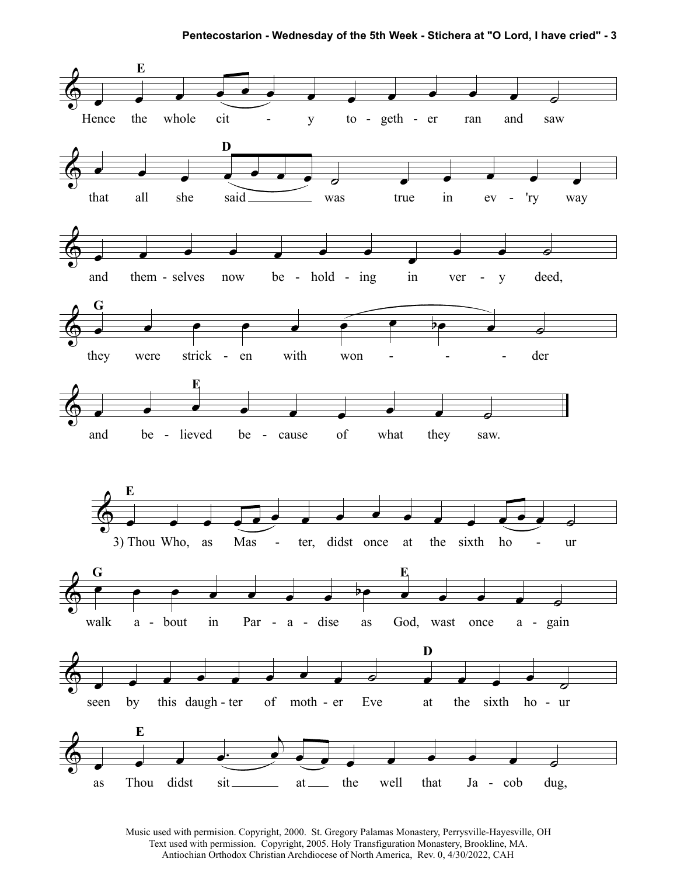

Music used with permision. Copyright, 2000. St. Gregory Palamas Monastery, Perrysville-Hayesville, OH Text used with permission. Copyright, 2005. Holy Transfiguration Monastery, Brookline, MA. Antiochian Orthodox Christian Archdiocese of North America, Rev. 0, 4/30/2022, CAH